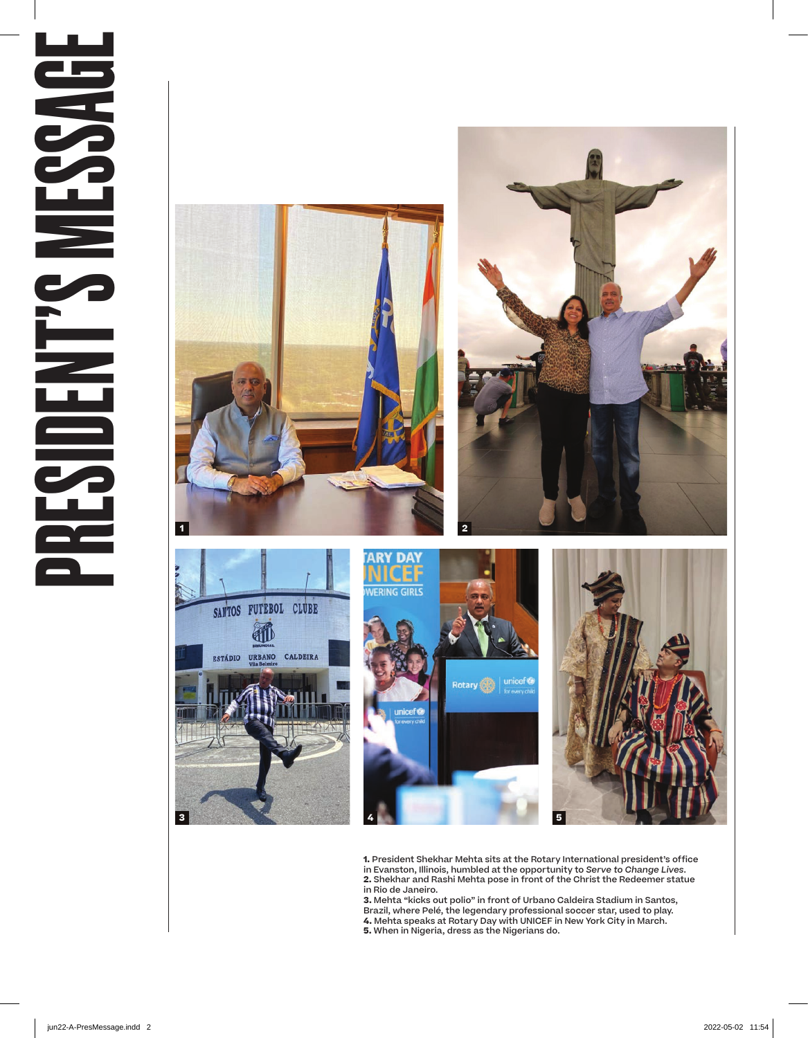## PRESIDENT'S MESSAGE  $\mathbf{r}$ DEN **PHES**



**1.** President Shekhar Mehta sits at the Rotary International president's office in Evanston, Illinois, humbled at the opportunity to *Serve to Change Lives*. **2.** Shekhar and Rashi Mehta pose in front of the Christ the Redeemer statue in Rio de Janeiro.

**3.** Mehta "kicks out polio" in front of Urbano Caldeira Stadium in Santos, Brazil, where Pelé, the legendary professional soccer star, used to play. **4.** Mehta speaks at Rotary Day with UNICEF in New York City in March. **5.** When in Nigeria, dress as the Nigerians do.